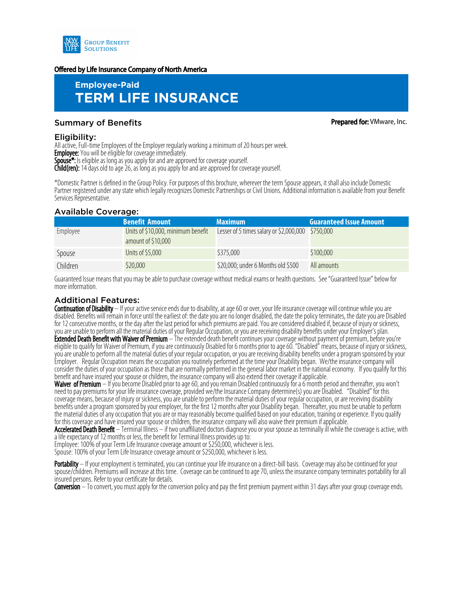

#### Offered by Life Insurance Company of North America

# **Employee-Paid TERM LIFE INSURANCE**

## Summary of Benefits **Prepared for:** VMware, Inc.

Eligibility:

All active, Full-time Employees of the Employer regularly working a minimum of 20 hours per week.

**Employee:** You will be eligible for coverage immediately.

Spouse<sup>\*</sup>: Is eligible as long as you apply for and are approved for coverage yourself.

Child(ren): 14 days old to age 26, as long as you apply for and are approved for coverage yourself.

\*Domestic Partner is defined in the Group Policy. For purposes of this brochure, wherever the term Spouse appears, it shall also include Domestic Partner registered under any state which legally recognizes Domestic Partnerships or Civil Unions. Additional information is available from your Benefit Services Representative.

#### Available Coverage:

|          | <b>Benefit Amount</b>              | <b>Maximum</b>                                    | <b>Guaranteed Issue Amount</b> |
|----------|------------------------------------|---------------------------------------------------|--------------------------------|
| Employee | Units of \$10,000, minimum benefit | Lesser of 5 times salary or \$2,000,000 \$750,000 |                                |
|          | amount of \$10,000                 |                                                   |                                |
| Spouse   | Units of \$5,000                   | \$375,000                                         | \$100,000                      |
| Children | \$20,000                           | \$20,000; under 6 Months old \$500                | All amounts                    |

Guaranteed Issue means that you may be able to purchase coverage without medical exams or health questions. See "Guaranteed Issue" below for more information.

## Additional Features:

Continuation of Disability – If your active service ends due to disability, at age 60 or over, your life insurance coverage will continue while you are disabled. Benefits will remain in force until the earliest of: the date you are no longer disabled, the date the policy terminates, the date you are Disabled for 12 consecutive months, or the day after the last period for which premiums are paid. You are considered disabled if, because of injury or sickness, you are unable to perform all the material duties of your Regular Occupation, or you are receiving disability benefits under your Employer's plan. **Extended Death Benefit with Waiver of Premium** — The extended death benefit continues your coverage without payment of premium, before you're eligible to qualify for Waiver of Premium, if you are continuously Disabled for 6 months prior to age 60. "Disabled" means, because of injury or sickness, you are unable to perform all the material duties of your regular occupation, or you are receiving disability benefits under a program sponsored by your Employer. Regular Occupation means the occupation you routinely performed at the time your Disability began. We/the insurance company will consider the duties of your occupation as those that are normally performed in the general labor market in the national economy. If you qualify for this

benefit and have insured your spouse or children, the insurance company will also extend their coverage if applicable.

Waiver of Premium – If you become Disabled prior to age 60, and you remain Disabled continuously for a 6 month period and thereafter, you won't need to pay premiums for your life insurance coverage, provided we/the Insurance Company determine(s) you are Disabled. "Disabled" for this coverage means, because of injury or sickness, you are unable to perform the material duties of your regular occupation, or are receiving disability benefits under a program sponsored by your employer, for the first 12 months after your Disability began. Thereafter, you must be unable to perform the material duties of any occupation that you are or may reasonably become qualified based on your education, training or experience. If you qualify for this coverage and have insured your spouse or children, the insurance company will also waive their premium if applicable.

Accelerated Death Benefit – Terminal Illness – if two unaffiliated doctors diagnose you or your spouse as terminally ill while the coverage is active, with a life expectancy of 12 months or less, the benefit for Terminal Illness provides up to:

Employee: 100% of your Term Life Insurance coverage amount or \$250,000, whichever is less.

Spouse: 100% of your Term Life Insurance coverage amount or \$250,000, whichever is less.

Portability – If your employment is terminated, you can continue your life insurance on a direct-bill basis. Coverage may also be continued for your spouse/children. Premiums will increase at this time. Coverage can be continued to age 70, unless the insurance company terminates portability for all insured persons. Refer to your certificate for details.

Conversion – To convert, you must apply for the conversion policy and pay the first premium payment within 31 days after your group coverage ends.